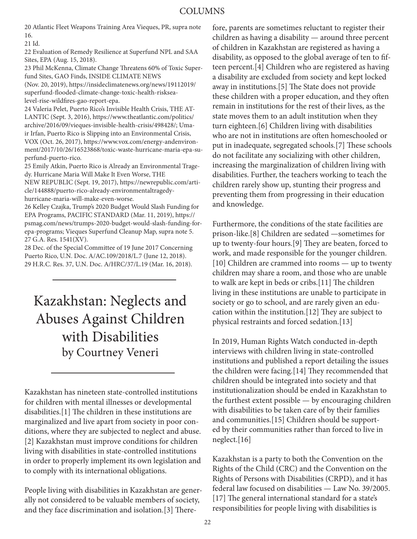20 Atlantic Fleet Weapons Training Area Vieques, PR, supra note 16.

21 Id.

22 Evaluation of Remedy Resilience at Superfund NPL and SAA Sites, EPA (Aug. 15, 2018).

23 Phil McKenna, Climate Change Threatens 60% of Toxic Superfund Sites, GAO Finds, INSIDE CLIMATE NEWS

(Nov. 20, 2019), https://insideclimatenews.org/news/19112019/ superfund-flooded-climate-change-toxic-health-risksealevel-rise-wildfires-gao-report-epa.

24 Valeria Pelet, Puerto Rico's Invisible Health Crisis, THE AT-LANTIC (Sept. 3, 2016), https://www.theatlantic.com/politics/ archive/2016/09/vieques-invisible-health-crisis/498428/; Umair Irfan, Puerto Rico is Slipping into an Environmental Crisis, VOX (Oct. 26, 2017), https://www.vox.com/energy-andenvironment/2017/10/26/16523868/toxic-waste-hurricane-maria-epa-superfund-puerto-rico.

25 Emily Atkin, Puerto Rico is Already an Environmental Tragedy. Hurricane Maria Will Make It Even Worse, THE

NEW REPUBLIC (Sept. 19, 2017), https://newrepublic.com/article/144888/puerto-rico-already-environmentaltragedyhurricane-maria-will-make-even-worse.

26 Kelley Czajka, Trump's 2020 Budget Would Slash Funding for EPA Programs, PACIFIC STANDARD (Mar. 11, 2019), https:// psmag.com/news/trumps-2020-budget-would-slash-funding-forepa-programs; Vieques Superfund Cleanup Map, supra note 5. 27 G.A. Res. 1541(XV).

28 Dec. of the Special Committee of 19 June 2017 Concerning Puerto Rico, U.N. Doc. A/AC.109/2018/L.7 (June 12, 2018). 29 H.R.C. Res. 37, U.N. Doc. A/HRC/37/L.19 (Mar. 16, 2018).

## Kazakhstan: Neglects and Abuses Against Children with Disabilities by Courtney Veneri

Kazakhstan has nineteen state-controlled institutions for children with mental illnesses or developmental disabilities.[1] The children in these institutions are marginalized and live apart from society in poor conditions, where they are subjected to neglect and abuse. [2] Kazakhstan must improve conditions for children living with disabilities in state-controlled institutions in order to properly implement its own legislation and to comply with its international obligations.

People living with disabilities in Kazakhstan are generally not considered to be valuable members of society, and they face discrimination and isolation.[3] Therefore, parents are sometimes reluctant to register their children as having a disability — around three percent of children in Kazakhstan are registered as having a disability, as opposed to the global average of ten to fifteen percent.[4] Children who are registered as having a disability are excluded from society and kept locked away in institutions.[5] The State does not provide these children with a proper education, and they often remain in institutions for the rest of their lives, as the state moves them to an adult institution when they turn eighteen.[6] Children living with disabilities who are not in institutions are often homeschooled or put in inadequate, segregated schools.[7] These schools do not facilitate any socializing with other children, increasing the marginalization of children living with disabilities. Further, the teachers working to teach the children rarely show up, stunting their progress and preventing them from progressing in their education and knowledge.

Furthermore, the conditions of the state facilities are prison-like.[8] Children are sedated —sometimes for up to twenty-four hours.[9] They are beaten, forced to work, and made responsible for the younger children. [10] Children are crammed into rooms — up to twenty children may share a room, and those who are unable to walk are kept in beds or cribs.[11] The children living in these institutions are unable to participate in society or go to school, and are rarely given an education within the institution.[12] They are subject to physical restraints and forced sedation.[13]

In 2019, Human Rights Watch conducted in-depth interviews with children living in state-controlled institutions and published a report detailing the issues the children were facing.[14] They recommended that children should be integrated into society and that institutionalization should be ended in Kazakhstan to the furthest extent possible — by encouraging children with disabilities to be taken care of by their families and communities.[15] Children should be supported by their communities rather than forced to live in neglect.[16]

Kazakhstan is a party to both the Convention on the Rights of the Child (CRC) and the Convention on the Rights of Persons with Disabilities (CRPD), and it has federal law focused on disabilities — Law No. 39/2005. [17] The general international standard for a state's responsibilities for people living with disabilities is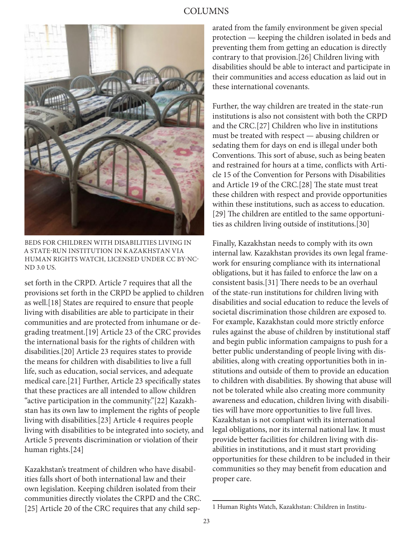## COLUMNS



BEDS FOR CHILDREN WITH DISABILITIES LIVING IN A STATE-RUN INSTITUTION IN KAZAKHSTAN VIA HUMAN RIGHTS WATCH, LICENSED UNDER CC BY-NC-ND 3.0 US.

set forth in the CRPD. Article 7 requires that all the provisions set forth in the CRPD be applied to children as well.[18] States are required to ensure that people living with disabilities are able to participate in their communities and are protected from inhumane or degrading treatment.[19] Article 23 of the CRC provides the international basis for the rights of children with disabilities.[20] Article 23 requires states to provide the means for children with disabilities to live a full life, such as education, social services, and adequate medical care.[21] Further, Article 23 specifically states that these practices are all intended to allow children "active participation in the community."[22] Kazakhstan has its own law to implement the rights of people living with disabilities.[23] Article 4 requires people living with disabilities to be integrated into society, and Article 5 prevents discrimination or violation of their human rights.[24]

Kazakhstan's treatment of children who have disabilities falls short of both international law and their own legislation. Keeping children isolated from their communities directly violates the CRPD and the CRC. [25] Article 20 of the CRC requires that any child separated from the family environment be given special protection — keeping the children isolated in beds and preventing them from getting an education is directly contrary to that provision.[26] Children living with disabilities should be able to interact and participate in their communities and access education as laid out in these international covenants.

Further, the way children are treated in the state-run institutions is also not consistent with both the CRPD and the CRC.[27] Children who live in institutions must be treated with respect — abusing children or sedating them for days on end is illegal under both Conventions. This sort of abuse, such as being beaten and restrained for hours at a time, conflicts with Article 15 of the Convention for Persons with Disabilities and Article 19 of the CRC.[28] The state must treat these children with respect and provide opportunities within these institutions, such as access to education. [29] The children are entitled to the same opportunities as children living outside of institutions.[30]

Finally, Kazakhstan needs to comply with its own internal law. Kazakhstan provides its own legal framework for ensuring compliance with its international obligations, but it has failed to enforce the law on a consistent basis.[31] There needs to be an overhaul of the state-run institutions for children living with disabilities and social education to reduce the levels of societal discrimination those children are exposed to. For example, Kazakhstan could more strictly enforce rules against the abuse of children by institutional staff and begin public information campaigns to push for a better public understanding of people living with disabilities, along with creating opportunities both in institutions and outside of them to provide an education to children with disabilities. By showing that abuse will not be tolerated while also creating more community awareness and education, children living with disabilities will have more opportunities to live full lives. Kazakhstan is not compliant with its international legal obligations, nor its internal national law. It must provide better facilities for children living with disabilities in institutions, and it must start providing opportunities for these children to be included in their communities so they may benefit from education and proper care.

<sup>1</sup> Human Rights Watch, Kazakhstan: Children in Institu-